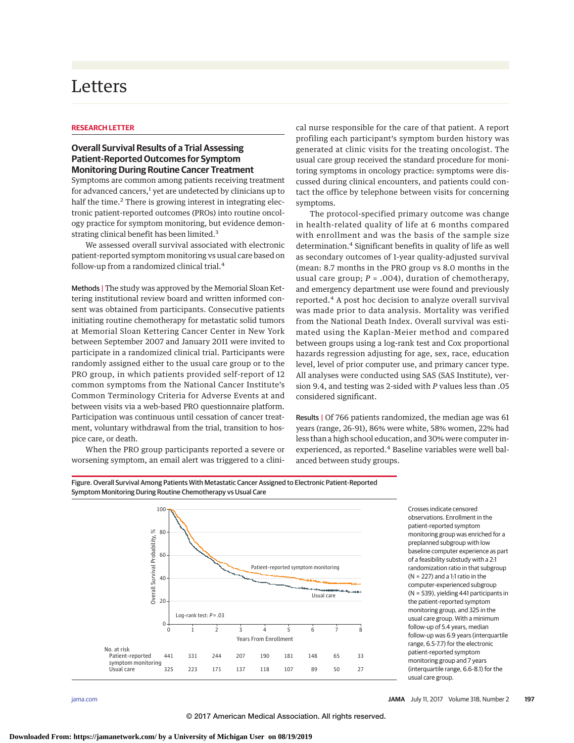# Letters

## **RESEARCH LETTER**

# **Overall Survival Results of a Trial Assessing Patient-Reported Outcomes for Symptom Monitoring During Routine Cancer Treatment**

Symptoms are common among patients receiving treatment for advanced cancers,<sup>1</sup> yet are undetected by clinicians up to half the time.<sup>2</sup> There is growing interest in integrating electronic patient-reported outcomes (PROs) into routine oncology practice for symptom monitoring, but evidence demonstrating clinical benefit has been limited.<sup>3</sup>

We assessed overall survival associated with electronic patient-reported symptom monitoring vs usual care based on follow-up from a randomized clinical trial.<sup>4</sup>

Methods | The study was approved by the Memorial Sloan Kettering institutional review board and written informed consent was obtained from participants. Consecutive patients initiating routine chemotherapy for metastatic solid tumors at Memorial Sloan Kettering Cancer Center in New York between September 2007 and January 2011 were invited to participate in a randomized clinical trial. Participants were randomly assigned either to the usual care group or to the PRO group, in which patients provided self-report of 12 common symptoms from the National Cancer Institute's Common Terminology Criteria for Adverse Events at and between visits via a web-based PRO questionnaire platform. Participation was continuous until cessation of cancer treatment, voluntary withdrawal from the trial, transition to hospice care, or death.

When the PRO group participants reported a severe or worsening symptom, an email alert was triggered to a clinical nurse responsible for the care of that patient. A report profiling each participant's symptom burden history was generated at clinic visits for the treating oncologist. The usual care group received the standard procedure for monitoring symptoms in oncology practice: symptoms were discussed during clinical encounters, and patients could contact the office by telephone between visits for concerning symptoms.

The protocol-specified primary outcome was change in health-related quality of life at 6 months compared with enrollment and was the basis of the sample size determination.<sup>4</sup> Significant benefits in quality of life as well as secondary outcomes of 1-year quality-adjusted survival (mean: 8.7 months in the PRO group vs 8.0 months in the usual care group; *P* = .004), duration of chemotherapy, and emergency department use were found and previously reported.<sup>4</sup> A post hoc decision to analyze overall survival was made prior to data analysis. Mortality was verified from the National Death Index. Overall survival was estimated using the Kaplan-Meier method and compared between groups using a log-rank test and Cox proportional hazards regression adjusting for age, sex, race, education level, level of prior computer use, and primary cancer type. All analyses were conducted using SAS (SAS Institute), version 9.4, and testing was 2-sided with *P* values less than .05 considered significant.

Results | Of 766 patients randomized, the median age was 61 years (range, 26-91), 86% were white, 58% women, 22% had less than a high school education, and 30% were computer inexperienced, as reported.<sup>4</sup> Baseline variables were well balanced between study groups.



Crosses indicate censored observations. Enrollment in the patient-reported symptom monitoring group was enriched for a preplanned subgroup with low baseline computer experience as part of a feasibility substudy with a 2:1 randomization ratio in that subgroup (N = 227) and a 1:1 ratio in the computer-experienced subgroup (N = 539), yielding 441 participants in the patient-reported symptom monitoring group, and 325 in the usual care group. With a minimum follow-up of 5.4 years, median follow-up was 6.9 years (interquartile range, 6.5-7.7) for the electronic patient-reported symptom monitoring group and 7 years (interquartile range, 6.6-8.1) for the usual care group.